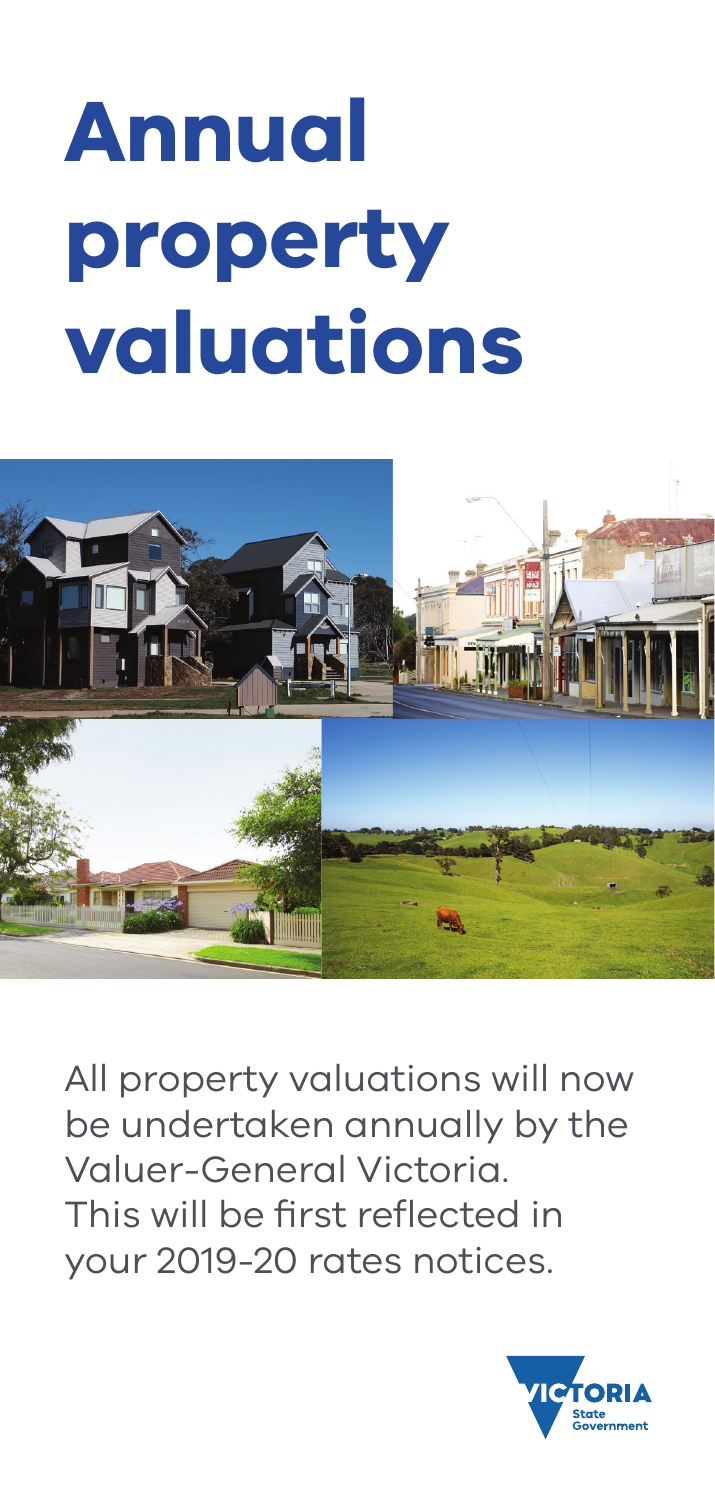# **Annual property valuations**



All property valuations will now be undertaken annually by the Valuer-General Victoria. This will be first reflected in your 2019-20 rates notices.